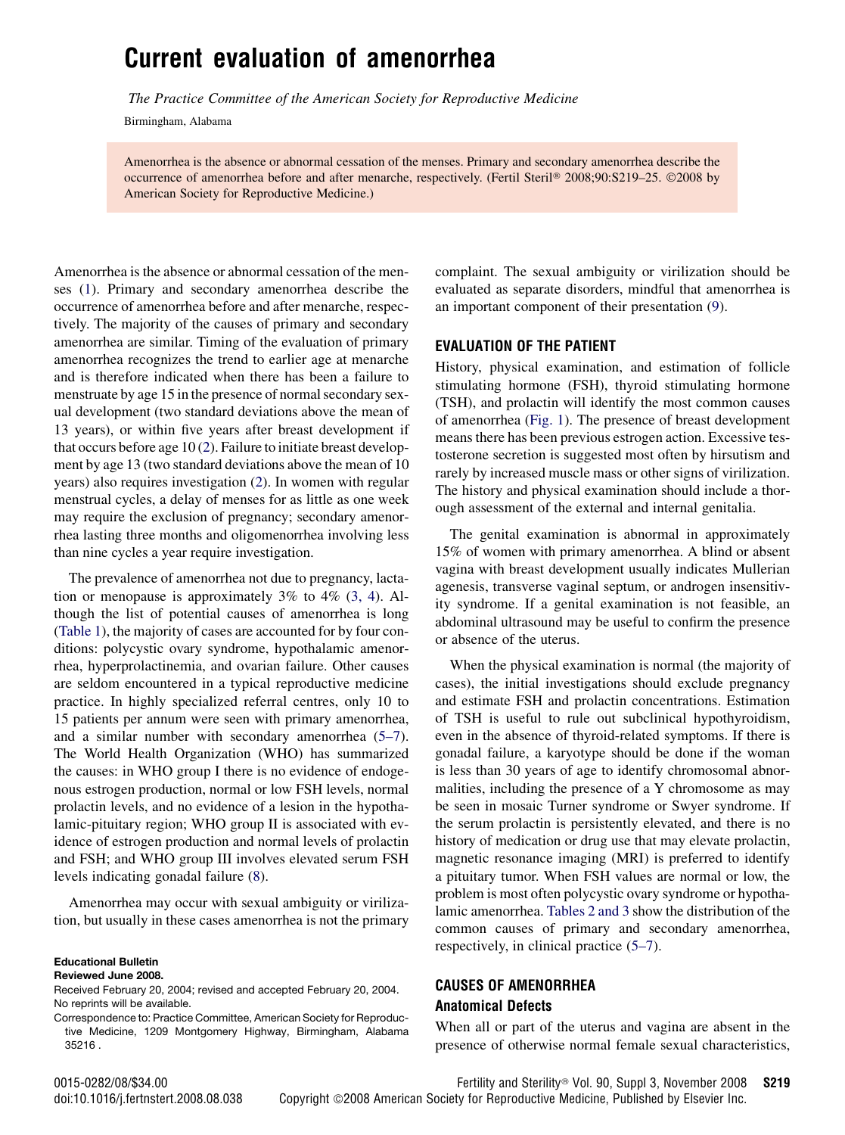# Current evaluation of amenorrhea

The Practice Committee of the American Society for Reproductive Medicine

Birmingham, Alabama

Amenorrhea is the absence or abnormal cessation of the menses. Primary and secondary amenorrhea describe the occurrence of amenorrhea before and after menarche, respectively. (Fertil Steril® 2008;90:S219-25. ©2008 by American Society for Reproductive Medicine.)

Amenorrhea is the absence or abnormal cessation of the menses [\(1](#page-5-0)). Primary and secondary amenorrhea describe the occurrence of amenorrhea before and after menarche, respectively. The majority of the causes of primary and secondary amenorrhea are similar. Timing of the evaluation of primary amenorrhea recognizes the trend to earlier age at menarche and is therefore indicated when there has been a failure to menstruate by age 15 in the presence of normal secondary sexual development (two standard deviations above the mean of 13 years), or within five years after breast development if that occurs before age 10 [\(2](#page-5-0)). Failure to initiate breast development by age 13 (two standard deviations above the mean of 10 years) also requires investigation [\(2](#page-5-0)). In women with regular menstrual cycles, a delay of menses for as little as one week may require the exclusion of pregnancy; secondary amenorrhea lasting three months and oligomenorrhea involving less than nine cycles a year require investigation.

The prevalence of amenorrhea not due to pregnancy, lactation or menopause is approximately  $3\%$  to  $4\%$   $(3, 4)$ . Although the list of potential causes of amenorrhea is long [\(Table 1](#page-1-0)), the majority of cases are accounted for by four conditions: polycystic ovary syndrome, hypothalamic amenorrhea, hyperprolactinemia, and ovarian failure. Other causes are seldom encountered in a typical reproductive medicine practice. In highly specialized referral centres, only 10 to 15 patients per annum were seen with primary amenorrhea, and a similar number with secondary amenorrhea [\(5–7](#page-5-0)). The World Health Organization (WHO) has summarized the causes: in WHO group I there is no evidence of endogenous estrogen production, normal or low FSH levels, normal prolactin levels, and no evidence of a lesion in the hypothalamic-pituitary region; WHO group II is associated with evidence of estrogen production and normal levels of prolactin and FSH; and WHO group III involves elevated serum FSH levels indicating gonadal failure [\(8](#page-5-0)).

Amenorrhea may occur with sexual ambiguity or virilization, but usually in these cases amenorrhea is not the primary

Educational Bulletin

Reviewed June 2008.

Received February 20, 2004; revised and accepted February 20, 2004. No reprints will be available.

Correspondence to: Practice Committee, American Society for Reproductive Medicine, 1209 Montgomery Highway, Birmingham, Alabama 35216 .

complaint. The sexual ambiguity or virilization should be evaluated as separate disorders, mindful that amenorrhea is an important component of their presentation ([9\)](#page-6-0).

#### EVALUATION OF THE PATIENT

History, physical examination, and estimation of follicle stimulating hormone (FSH), thyroid stimulating hormone (TSH), and prolactin will identify the most common causes of amenorrhea [\(Fig. 1\)](#page-2-0). The presence of breast development means there has been previous estrogen action. Excessive testosterone secretion is suggested most often by hirsutism and rarely by increased muscle mass or other signs of virilization. The history and physical examination should include a thorough assessment of the external and internal genitalia.

The genital examination is abnormal in approximately 15% of women with primary amenorrhea. A blind or absent vagina with breast development usually indicates Mullerian agenesis, transverse vaginal septum, or androgen insensitivity syndrome. If a genital examination is not feasible, an abdominal ultrasound may be useful to confirm the presence or absence of the uterus.

When the physical examination is normal (the majority of cases), the initial investigations should exclude pregnancy and estimate FSH and prolactin concentrations. Estimation of TSH is useful to rule out subclinical hypothyroidism, even in the absence of thyroid-related symptoms. If there is gonadal failure, a karyotype should be done if the woman is less than 30 years of age to identify chromosomal abnormalities, including the presence of a Y chromosome as may be seen in mosaic Turner syndrome or Swyer syndrome. If the serum prolactin is persistently elevated, and there is no history of medication or drug use that may elevate prolactin, magnetic resonance imaging (MRI) is preferred to identify a pituitary tumor. When FSH values are normal or low, the problem is most often polycystic ovary syndrome or hypothalamic amenorrhea. [Tables 2 and 3](#page-3-0) show the distribution of the common causes of primary and secondary amenorrhea, respectively, in clinical practice ([5–7\)](#page-5-0).

### CAUSES OF AMENORRHEA Anatomical Defects

When all or part of the uterus and vagina are absent in the presence of otherwise normal female sexual characteristics,

0015-0282/08/\$34.00 Fertility and Sterility Vol. 90, Suppl 3, November 2008 S219 doi:10.1016/j.fertnstert.2008.08.038 Copyright @2008 American Society for Reproductive Medicine, Published by Elsevier Inc.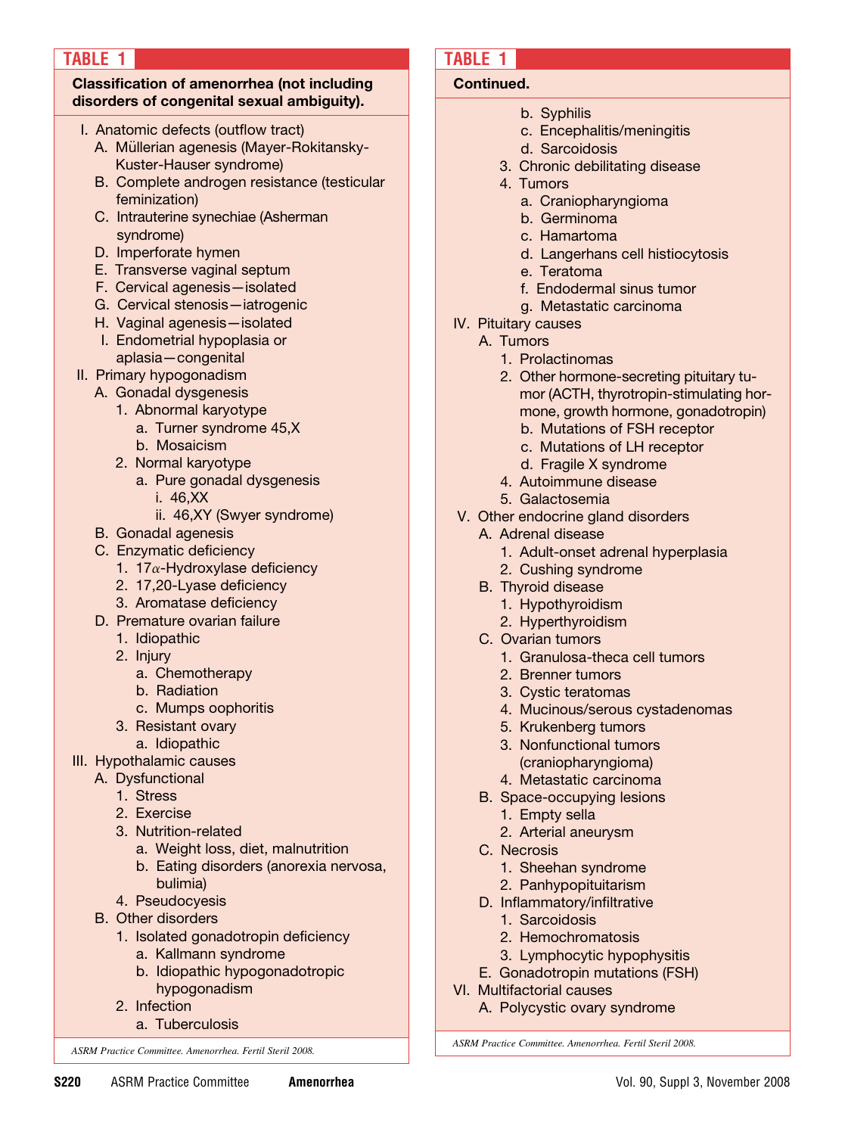## <span id="page-1-0"></span>TABLE 1

## Classification of amenorrhea (not including disorders of congenital sexual ambiguity).

- I. Anatomic defects (outflow tract)
	- A. Müllerian agenesis (Mayer-Rokitansky-Kuster-Hauser syndrome)
	- B. Complete androgen resistance (testicular feminization)
	- C. Intrauterine synechiae (Asherman syndrome)
	- D. Imperforate hymen
	- E. Transverse vaginal septum
	- F. Cervical agenesis—isolated
	- G. Cervical stenosis—iatrogenic
	- H. Vaginal agenesis—isolated
	- I. Endometrial hypoplasia or aplasia—congenital
- II. Primary hypogonadism
	- A. Gonadal dysgenesis
		- 1. Abnormal karyotype
			- a. Turner syndrome 45,X
			- b. Mosaicism
		- 2. Normal karyotype
			- a. Pure gonadal dysgenesis
				- i. 46,XX
				- ii. 46,XY (Swyer syndrome)
	- B. Gonadal agenesis
	- C. Enzymatic deficiency
		- 1.  $17\alpha$ -Hydroxylase deficiency
		- 2. 17,20-Lyase deficiency
		- 3. Aromatase deficiency
	- D. Premature ovarian failure
		- 1. Idiopathic
		- 2. Injury
			- a. Chemotherapy
			- b. Radiation
			- c. Mumps oophoritis
		- 3. Resistant ovary
			- a. Idiopathic
- III. Hypothalamic causes
	- A. Dysfunctional
		- 1. Stress
		- 2. Exercise
		- 3. Nutrition-related
			- a. Weight loss, diet, malnutrition
			- b. Eating disorders (anorexia nervosa, bulimia)
		- 4. Pseudocyesis
	- B. Other disorders
		- 1. Isolated gonadotropin deficiency
			- a. Kallmann syndrome
			- b. Idiopathic hypogonadotropic hypogonadism
		- 2. Infection
			- a. Tuberculosis

ASRM Practice Committee. Amenorrhea. Fertil Steril 2008.

# TABLE 1

## Continued.

- b. Syphilis
- c. Encephalitis/meningitis
- d. Sarcoidosis
- 3. Chronic debilitating disease
- 4. Tumors
	- a. Craniopharyngioma
	- b. Germinoma
	- c. Hamartoma
	- d. Langerhans cell histiocytosis
	- e. Teratoma
	- f. Endodermal sinus tumor
	- g. Metastatic carcinoma
- IV. Pituitary causes
	- A. Tumors
		- 1. Prolactinomas
		- 2. Other hormone-secreting pituitary tumor (ACTH, thyrotropin-stimulating hormone, growth hormone, gonadotropin)
			- b. Mutations of FSH receptor
			- c. Mutations of LH receptor
			- d. Fragile X syndrome
		- 4. Autoimmune disease
		- 5. Galactosemia
- V. Other endocrine gland disorders
	- A. Adrenal disease
		- 1. Adult-onset adrenal hyperplasia
		- 2. Cushing syndrome
	- B. Thyroid disease
		- 1. Hypothyroidism
		- 2. Hyperthyroidism
	- C. Ovarian tumors
		- 1. Granulosa-theca cell tumors
		- 2. Brenner tumors
		- 3. Cystic teratomas
		- 4. Mucinous/serous cystadenomas
		- 5. Krukenberg tumors
		- 3. Nonfunctional tumors
			- (craniopharyngioma)
		- 4. Metastatic carcinoma
	- B. Space-occupying lesions
		- 1. Empty sella
		- 2. Arterial aneurysm
	- C. Necrosis
		- 1. Sheehan syndrome
		- 2. Panhypopituitarism
	- D. Inflammatory/infiltrative
		- 1. Sarcoidosis
		- 2. Hemochromatosis

A. Polycystic ovary syndrome

ASRM Practice Committee. Amenorrhea. Fertil Steril 2008.

- 3. Lymphocytic hypophysitis
- E. Gonadotropin mutations (FSH)
- VI. Multifactorial causes

S220 ASRM Practice Committee **Amenorrhea** Amenorrhea Vol. 90, Suppl 3, November 2008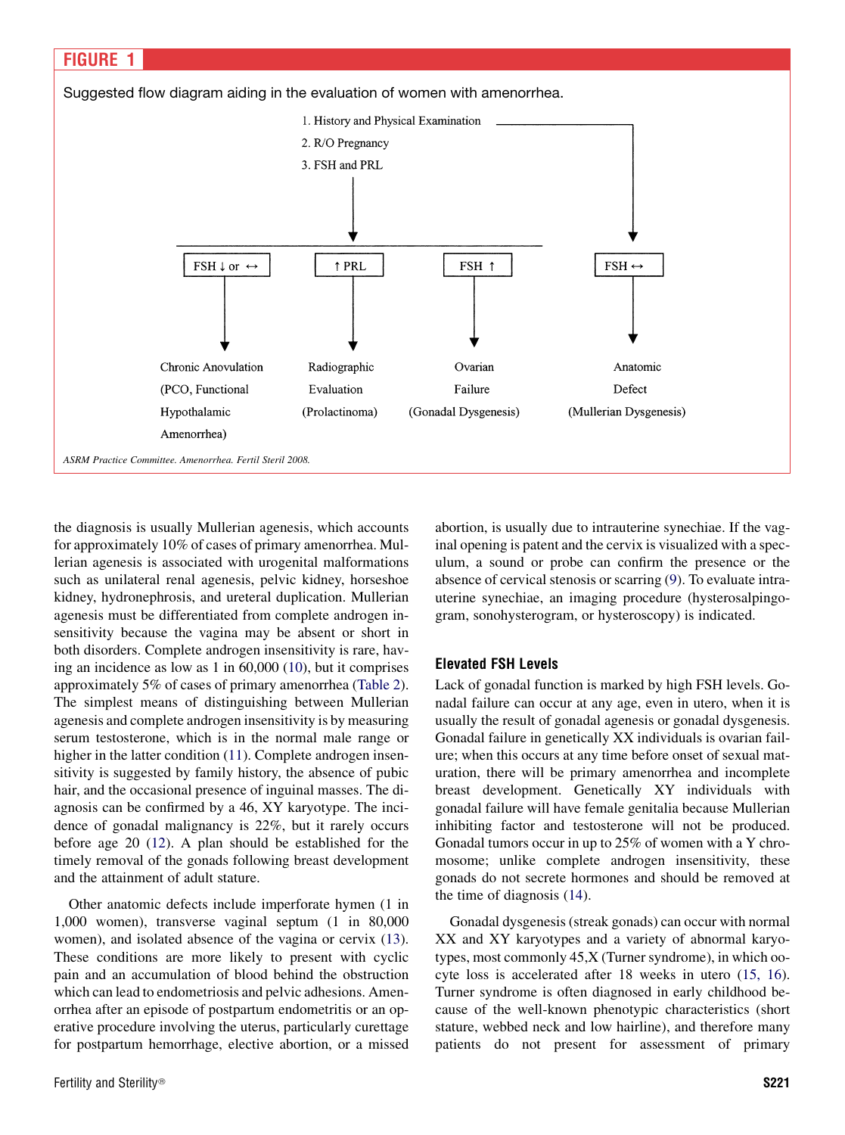## <span id="page-2-0"></span>FIGURE 1



the diagnosis is usually Mullerian agenesis, which accounts for approximately 10% of cases of primary amenorrhea. Mullerian agenesis is associated with urogenital malformations such as unilateral renal agenesis, pelvic kidney, horseshoe kidney, hydronephrosis, and ureteral duplication. Mullerian agenesis must be differentiated from complete androgen insensitivity because the vagina may be absent or short in both disorders. Complete androgen insensitivity is rare, having an incidence as low as 1 in 60,000 [\(10](#page-6-0)), but it comprises approximately 5% of cases of primary amenorrhea ([Table 2](#page-3-0)). The simplest means of distinguishing between Mullerian agenesis and complete androgen insensitivity is by measuring serum testosterone, which is in the normal male range or higher in the latter condition ([11\)](#page-6-0). Complete androgen insensitivity is suggested by family history, the absence of pubic hair, and the occasional presence of inguinal masses. The diagnosis can be confirmed by a 46, XY karyotype. The incidence of gonadal malignancy is 22%, but it rarely occurs before age 20 [\(12](#page-6-0)). A plan should be established for the timely removal of the gonads following breast development and the attainment of adult stature.

Other anatomic defects include imperforate hymen (1 in 1,000 women), transverse vaginal septum (1 in 80,000 women), and isolated absence of the vagina or cervix [\(13](#page-6-0)). These conditions are more likely to present with cyclic pain and an accumulation of blood behind the obstruction which can lead to endometriosis and pelvic adhesions. Amenorrhea after an episode of postpartum endometritis or an operative procedure involving the uterus, particularly curettage for postpartum hemorrhage, elective abortion, or a missed

Lack of gonadal function is marked by high FSH levels. Gonadal failure can occur at any age, even in utero, when it is usually the result of gonadal agenesis or gonadal dysgenesis. Gonadal failure in genetically XX individuals is ovarian fail-

Elevated FSH Levels

ure; when this occurs at any time before onset of sexual maturation, there will be primary amenorrhea and incomplete breast development. Genetically XY individuals with gonadal failure will have female genitalia because Mullerian inhibiting factor and testosterone will not be produced. Gonadal tumors occur in up to 25% of women with a Y chromosome; unlike complete androgen insensitivity, these gonads do not secrete hormones and should be removed at the time of diagnosis ([14\)](#page-6-0).

abortion, is usually due to intrauterine synechiae. If the vaginal opening is patent and the cervix is visualized with a speculum, a sound or probe can confirm the presence or the absence of cervical stenosis or scarring ([9\)](#page-6-0). To evaluate intrauterine synechiae, an imaging procedure (hysterosalpingogram, sonohysterogram, or hysteroscopy) is indicated.

Gonadal dysgenesis (streak gonads) can occur with normal XX and XY karyotypes and a variety of abnormal karyotypes, most commonly 45,X (Turner syndrome), in which oocyte loss is accelerated after 18 weeks in utero [\(15, 16](#page-6-0)). Turner syndrome is often diagnosed in early childhood because of the well-known phenotypic characteristics (short stature, webbed neck and low hairline), and therefore many patients do not present for assessment of primary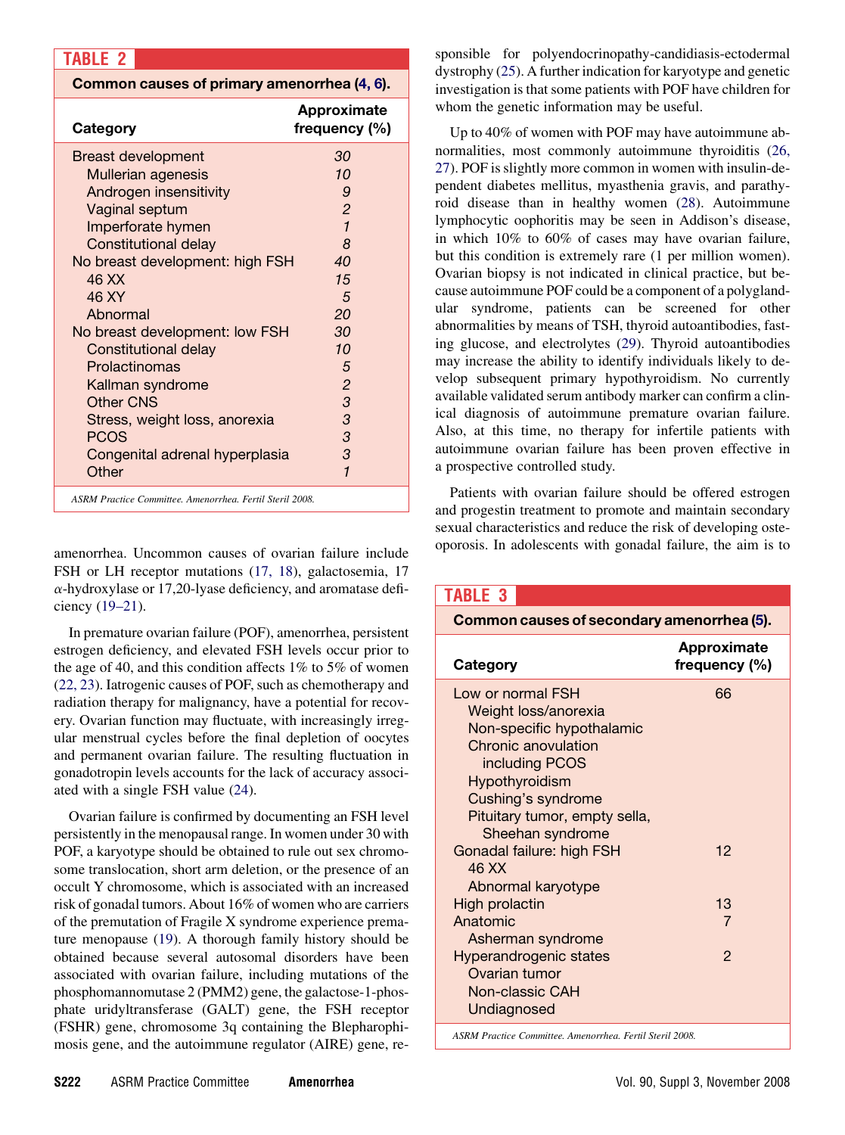<span id="page-3-0"></span>

| <b>TABLE 2</b>                              |                                 |  |
|---------------------------------------------|---------------------------------|--|
| Common causes of primary amenorrhea (4, 6). |                                 |  |
| Category                                    | Approximate<br>frequency $(\%)$ |  |
| Breast development                          | 30                              |  |
| Mullerian agenesis                          | 10                              |  |
| Androgen insensitivity                      | 9                               |  |
| Vaginal septum                              | $\overline{c}$                  |  |
| Imperforate hymen                           | $\mathbf{1}$                    |  |
| <b>Constitutional delay</b>                 | 8                               |  |
| No breast development: high FSH             | 40                              |  |
| 46 XX                                       | 15                              |  |
| 46 XY                                       | 5                               |  |
| Abnormal                                    | 20                              |  |
| No breast development: low FSH              | 30                              |  |
| Constitutional delay                        | 10                              |  |
| Prolactinomas                               | 5                               |  |
| Kallman syndrome                            | $\overline{c}$                  |  |
| <b>Other CNS</b>                            | 3                               |  |
| Stress, weight loss, anorexia               | 3                               |  |
| <b>PCOS</b>                                 | 3                               |  |
| Congenital adrenal hyperplasia              | 3                               |  |
| Other                                       | $\mathbf{1}$                    |  |

amenorrhea. Uncommon causes of ovarian failure include FSH or LH receptor mutations [\(17, 18\)](#page-6-0), galactosemia, 17  $\alpha$ -hydroxylase or 17,20-lyase deficiency, and aromatase deficiency [\(19–21](#page-6-0)).

ASRM Practice Committee. Amenorrhea. Fertil Steril 2008.

In premature ovarian failure (POF), amenorrhea, persistent estrogen deficiency, and elevated FSH levels occur prior to the age of 40, and this condition affects 1% to 5% of women [\(22, 23\)](#page-6-0). Iatrogenic causes of POF, such as chemotherapy and radiation therapy for malignancy, have a potential for recovery. Ovarian function may fluctuate, with increasingly irregular menstrual cycles before the final depletion of oocytes and permanent ovarian failure. The resulting fluctuation in gonadotropin levels accounts for the lack of accuracy associated with a single FSH value ([24\)](#page-6-0).

Ovarian failure is confirmed by documenting an FSH level persistently in the menopausal range. In women under 30 with POF, a karyotype should be obtained to rule out sex chromosome translocation, short arm deletion, or the presence of an occult Y chromosome, which is associated with an increased risk of gonadal tumors. About 16% of women who are carriers of the premutation of Fragile X syndrome experience premature menopause [\(19](#page-6-0)). A thorough family history should be obtained because several autosomal disorders have been associated with ovarian failure, including mutations of the phosphomannomutase 2 (PMM2) gene, the galactose-1-phosphate uridyltransferase (GALT) gene, the FSH receptor (FSHR) gene, chromosome 3q containing the Blepharophimosis gene, and the autoimmune regulator (AIRE) gene, responsible for polyendocrinopathy-candidiasis-ectodermal dystrophy ([25\)](#page-6-0). A further indication for karyotype and genetic investigation is that some patients with POF have children for whom the genetic information may be useful.

Up to 40% of women with POF may have autoimmune abnormalities, most commonly autoimmune thyroiditis  $(26, 26)$  $(26, 26)$  $(26, 26)$ [27\)](#page-6-0). POF is slightly more common in women with insulin-dependent diabetes mellitus, myasthenia gravis, and parathyroid disease than in healthy women [\(28](#page-6-0)). Autoimmune lymphocytic oophoritis may be seen in Addison's disease, in which 10% to 60% of cases may have ovarian failure, but this condition is extremely rare (1 per million women). Ovarian biopsy is not indicated in clinical practice, but because autoimmune POF could be a component of a polyglandular syndrome, patients can be screened for other abnormalities by means of TSH, thyroid autoantibodies, fasting glucose, and electrolytes ([29\)](#page-6-0). Thyroid autoantibodies may increase the ability to identify individuals likely to develop subsequent primary hypothyroidism. No currently available validated serum antibody marker can confirm a clinical diagnosis of autoimmune premature ovarian failure. Also, at this time, no therapy for infertile patients with autoimmune ovarian failure has been proven effective in a prospective controlled study.

Patients with ovarian failure should be offered estrogen and progestin treatment to promote and maintain secondary sexual characteristics and reduce the risk of developing osteoporosis. In adolescents with gonadal failure, the aim is to

| <b>TABLE 3</b>                                                                                                                                                                                               |                              |  |
|--------------------------------------------------------------------------------------------------------------------------------------------------------------------------------------------------------------|------------------------------|--|
| Common causes of secondary amenorrhea (5).                                                                                                                                                                   |                              |  |
| <b>Category</b>                                                                                                                                                                                              | Approximate<br>frequency (%) |  |
| Low or normal FSH<br>Weight loss/anorexia<br>Non-specific hypothalamic<br>Chronic anovulation<br>including PCOS<br>Hypothyroidism<br>Cushing's syndrome<br>Pituitary tumor, empty sella,<br>Sheehan syndrome | 66                           |  |
| Gonadal failure: high FSH<br>46 XX<br>Abnormal karyotype                                                                                                                                                     | 12                           |  |
| High prolactin                                                                                                                                                                                               | 13                           |  |
| Anatomic<br>Asherman syndrome                                                                                                                                                                                | 7                            |  |
| <b>Hyperandrogenic states</b><br>Ovarian tumor<br>Non-classic CAH<br>Undiagnosed                                                                                                                             | $\mathcal{P}$                |  |
| ASPM Practice Committee, Amenovshea, Fortil Storil 2008                                                                                                                                                      |                              |  |

ASRM Practice Committee. Amenorrhea. Fertil Steril 2008.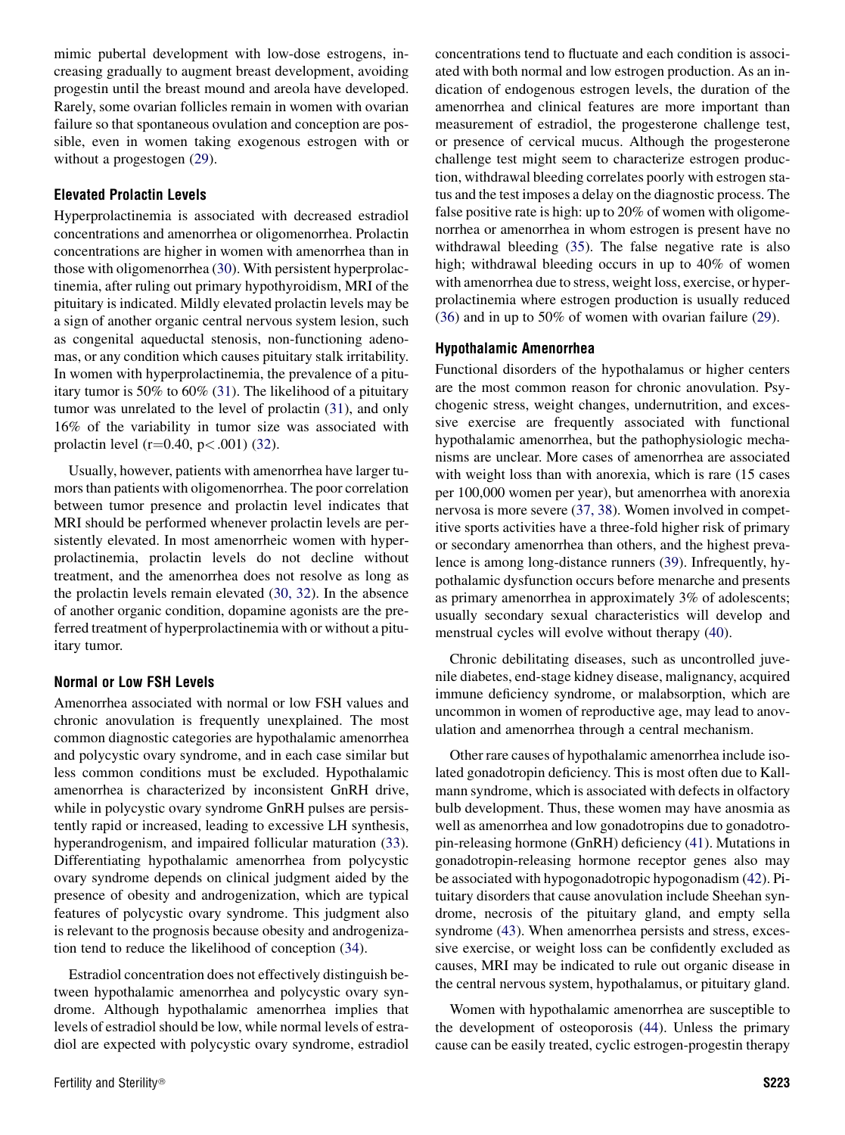mimic pubertal development with low-dose estrogens, increasing gradually to augment breast development, avoiding progestin until the breast mound and areola have developed. Rarely, some ovarian follicles remain in women with ovarian failure so that spontaneous ovulation and conception are possible, even in women taking exogenous estrogen with or without a progestogen [\(29](#page-6-0)).

### Elevated Prolactin Levels

Hyperprolactinemia is associated with decreased estradiol concentrations and amenorrhea or oligomenorrhea. Prolactin concentrations are higher in women with amenorrhea than in those with oligomenorrhea [\(30](#page-6-0)). With persistent hyperprolactinemia, after ruling out primary hypothyroidism, MRI of the pituitary is indicated. Mildly elevated prolactin levels may be a sign of another organic central nervous system lesion, such as congenital aqueductal stenosis, non-functioning adenomas, or any condition which causes pituitary stalk irritability. In women with hyperprolactinemia, the prevalence of a pituitary tumor is 50% to 60% [\(31](#page-6-0)). The likelihood of a pituitary tumor was unrelated to the level of prolactin ([31\)](#page-6-0), and only 16% of the variability in tumor size was associated with prolactin level (r=0.40, p < .001) [\(32](#page-6-0)).

Usually, however, patients with amenorrhea have larger tumors than patients with oligomenorrhea. The poor correlation between tumor presence and prolactin level indicates that MRI should be performed whenever prolactin levels are persistently elevated. In most amenorrheic women with hyperprolactinemia, prolactin levels do not decline without treatment, and the amenorrhea does not resolve as long as the prolactin levels remain elevated ([30, 32](#page-6-0)). In the absence of another organic condition, dopamine agonists are the preferred treatment of hyperprolactinemia with or without a pituitary tumor.

#### Normal or Low FSH Levels

Amenorrhea associated with normal or low FSH values and chronic anovulation is frequently unexplained. The most common diagnostic categories are hypothalamic amenorrhea and polycystic ovary syndrome, and in each case similar but less common conditions must be excluded. Hypothalamic amenorrhea is characterized by inconsistent GnRH drive, while in polycystic ovary syndrome GnRH pulses are persistently rapid or increased, leading to excessive LH synthesis, hyperandrogenism, and impaired follicular maturation [\(33](#page-6-0)). Differentiating hypothalamic amenorrhea from polycystic ovary syndrome depends on clinical judgment aided by the presence of obesity and androgenization, which are typical features of polycystic ovary syndrome. This judgment also is relevant to the prognosis because obesity and androgenization tend to reduce the likelihood of conception [\(34](#page-6-0)).

Estradiol concentration does not effectively distinguish between hypothalamic amenorrhea and polycystic ovary syndrome. Although hypothalamic amenorrhea implies that levels of estradiol should be low, while normal levels of estradiol are expected with polycystic ovary syndrome, estradiol concentrations tend to fluctuate and each condition is associated with both normal and low estrogen production. As an indication of endogenous estrogen levels, the duration of the amenorrhea and clinical features are more important than measurement of estradiol, the progesterone challenge test, or presence of cervical mucus. Although the progesterone challenge test might seem to characterize estrogen production, withdrawal bleeding correlates poorly with estrogen status and the test imposes a delay on the diagnostic process. The false positive rate is high: up to 20% of women with oligomenorrhea or amenorrhea in whom estrogen is present have no withdrawal bleeding [\(35](#page-6-0)). The false negative rate is also high; withdrawal bleeding occurs in up to 40% of women with amenorrhea due to stress, weight loss, exercise, or hyperprolactinemia where estrogen production is usually reduced [\(36](#page-6-0)) and in up to 50% of women with ovarian failure [\(29](#page-6-0)).

#### Hypothalamic Amenorrhea

Functional disorders of the hypothalamus or higher centers are the most common reason for chronic anovulation. Psychogenic stress, weight changes, undernutrition, and excessive exercise are frequently associated with functional hypothalamic amenorrhea, but the pathophysiologic mechanisms are unclear. More cases of amenorrhea are associated with weight loss than with anorexia, which is rare  $(15 \text{ cases})$ per 100,000 women per year), but amenorrhea with anorexia nervosa is more severe ([37, 38\)](#page-6-0). Women involved in competitive sports activities have a three-fold higher risk of primary or secondary amenorrhea than others, and the highest prevalence is among long-distance runners [\(39\)](#page-6-0). Infrequently, hypothalamic dysfunction occurs before menarche and presents as primary amenorrhea in approximately 3% of adolescents; usually secondary sexual characteristics will develop and menstrual cycles will evolve without therapy ([40\)](#page-6-0).

Chronic debilitating diseases, such as uncontrolled juvenile diabetes, end-stage kidney disease, malignancy, acquired immune deficiency syndrome, or malabsorption, which are uncommon in women of reproductive age, may lead to anovulation and amenorrhea through a central mechanism.

Other rare causes of hypothalamic amenorrhea include isolated gonadotropin deficiency. This is most often due to Kallmann syndrome, which is associated with defects in olfactory bulb development. Thus, these women may have anosmia as well as amenorrhea and low gonadotropins due to gonadotropin-releasing hormone (GnRH) deficiency [\(41](#page-6-0)). Mutations in gonadotropin-releasing hormone receptor genes also may be associated with hypogonadotropic hypogonadism ([42\)](#page-6-0). Pituitary disorders that cause anovulation include Sheehan syndrome, necrosis of the pituitary gland, and empty sella syndrome [\(43](#page-6-0)). When amenorrhea persists and stress, excessive exercise, or weight loss can be confidently excluded as causes, MRI may be indicated to rule out organic disease in the central nervous system, hypothalamus, or pituitary gland.

Women with hypothalamic amenorrhea are susceptible to the development of osteoporosis [\(44](#page-6-0)). Unless the primary cause can be easily treated, cyclic estrogen-progestin therapy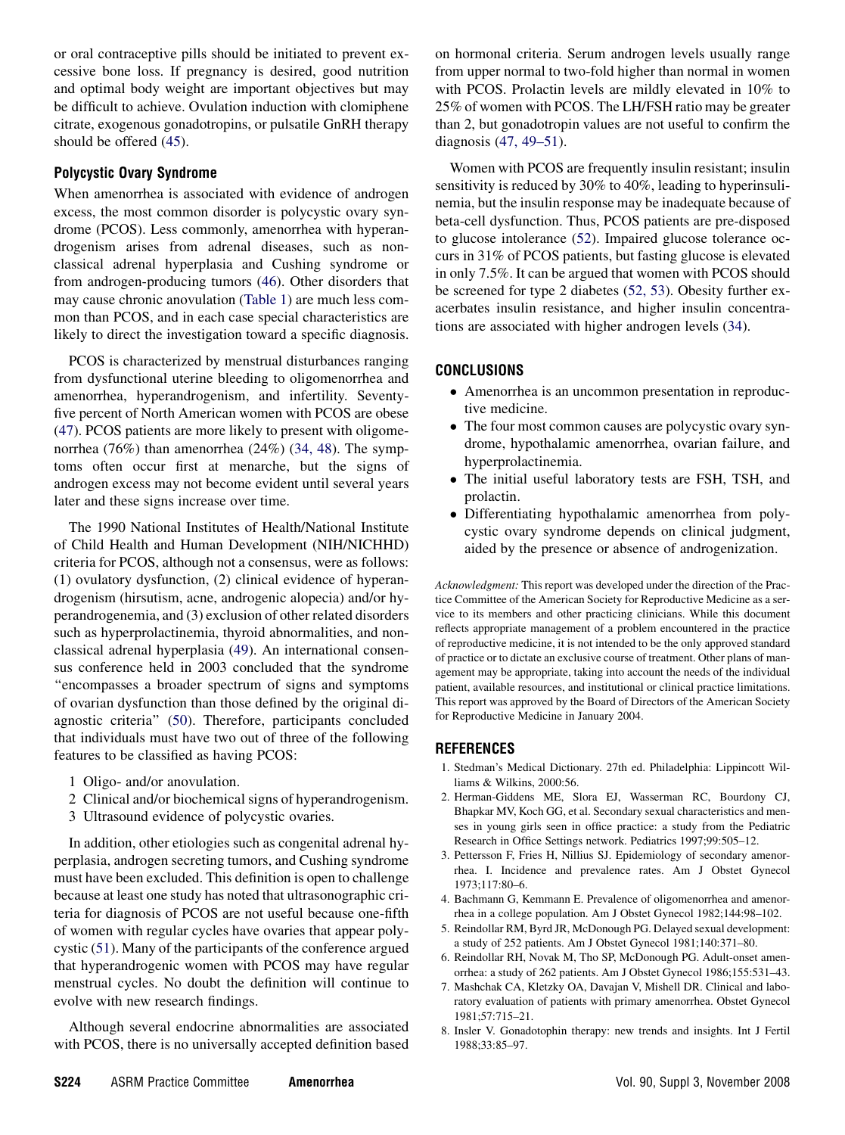<span id="page-5-0"></span>or oral contraceptive pills should be initiated to prevent excessive bone loss. If pregnancy is desired, good nutrition and optimal body weight are important objectives but may be difficult to achieve. Ovulation induction with clomiphene citrate, exogenous gonadotropins, or pulsatile GnRH therapy should be offered [\(45](#page-6-0)).

### Polycystic Ovary Syndrome

When amenorrhea is associated with evidence of androgen excess, the most common disorder is polycystic ovary syndrome (PCOS). Less commonly, amenorrhea with hyperandrogenism arises from adrenal diseases, such as nonclassical adrenal hyperplasia and Cushing syndrome or from androgen-producing tumors ([46\)](#page-6-0). Other disorders that may cause chronic anovulation ([Table 1\)](#page-1-0) are much less common than PCOS, and in each case special characteristics are likely to direct the investigation toward a specific diagnosis.

PCOS is characterized by menstrual disturbances ranging from dysfunctional uterine bleeding to oligomenorrhea and amenorrhea, hyperandrogenism, and infertility. Seventyfive percent of North American women with PCOS are obese [\(47](#page-6-0)). PCOS patients are more likely to present with oligomenorrhea (76%) than amenorrhea (24%) ([34, 48](#page-6-0)). The symptoms often occur first at menarche, but the signs of androgen excess may not become evident until several years later and these signs increase over time.

The 1990 National Institutes of Health/National Institute of Child Health and Human Development (NIH/NICHHD) criteria for PCOS, although not a consensus, were as follows: (1) ovulatory dysfunction, (2) clinical evidence of hyperandrogenism (hirsutism, acne, androgenic alopecia) and/or hyperandrogenemia, and (3) exclusion of other related disorders such as hyperprolactinemia, thyroid abnormalities, and nonclassical adrenal hyperplasia ([49\)](#page-6-0). An international consensus conference held in 2003 concluded that the syndrome ''encompasses a broader spectrum of signs and symptoms of ovarian dysfunction than those defined by the original diagnostic criteria'' ([50\)](#page-6-0). Therefore, participants concluded that individuals must have two out of three of the following features to be classified as having PCOS:

- 1 Oligo- and/or anovulation.
- 2 Clinical and/or biochemical signs of hyperandrogenism.
- 3 Ultrasound evidence of polycystic ovaries.

In addition, other etiologies such as congenital adrenal hyperplasia, androgen secreting tumors, and Cushing syndrome must have been excluded. This definition is open to challenge because at least one study has noted that ultrasonographic criteria for diagnosis of PCOS are not useful because one-fifth of women with regular cycles have ovaries that appear polycystic [\(51](#page-6-0)). Many of the participants of the conference argued that hyperandrogenic women with PCOS may have regular menstrual cycles. No doubt the definition will continue to evolve with new research findings.

Although several endocrine abnormalities are associated with PCOS, there is no universally accepted definition based

on hormonal criteria. Serum androgen levels usually range from upper normal to two-fold higher than normal in women with PCOS. Prolactin levels are mildly elevated in 10% to 25% of women with PCOS. The LH/FSH ratio may be greater than 2, but gonadotropin values are not useful to confirm the diagnosis ([47, 49–51\)](#page-6-0).

Women with PCOS are frequently insulin resistant; insulin sensitivity is reduced by 30% to 40%, leading to hyperinsulinemia, but the insulin response may be inadequate because of beta-cell dysfunction. Thus, PCOS patients are pre-disposed to glucose intolerance [\(52](#page-6-0)). Impaired glucose tolerance occurs in 31% of PCOS patients, but fasting glucose is elevated in only 7.5%. It can be argued that women with PCOS should be screened for type 2 diabetes [\(52, 53\)](#page-6-0). Obesity further exacerbates insulin resistance, and higher insulin concentrations are associated with higher androgen levels [\(34](#page-6-0)).

## CONCLUSIONS

- Amenorrhea is an uncommon presentation in reproductive medicine.
- The four most common causes are polycystic ovary syndrome, hypothalamic amenorrhea, ovarian failure, and hyperprolactinemia.
- The initial useful laboratory tests are FSH, TSH, and prolactin.
- Differentiating hypothalamic amenorrhea from polycystic ovary syndrome depends on clinical judgment, aided by the presence or absence of androgenization.

Acknowledgment: This report was developed under the direction of the Practice Committee of the American Society for Reproductive Medicine as a service to its members and other practicing clinicians. While this document reflects appropriate management of a problem encountered in the practice of reproductive medicine, it is not intended to be the only approved standard of practice or to dictate an exclusive course of treatment. Other plans of management may be appropriate, taking into account the needs of the individual patient, available resources, and institutional or clinical practice limitations. This report was approved by the Board of Directors of the American Society for Reproductive Medicine in January 2004.

## REFERENCES

- 1. Stedman's Medical Dictionary. 27th ed. Philadelphia: Lippincott Williams & Wilkins, 2000:56.
- 2. Herman-Giddens ME, Slora EJ, Wasserman RC, Bourdony CJ, Bhapkar MV, Koch GG, et al. Secondary sexual characteristics and menses in young girls seen in office practice: a study from the Pediatric Research in Office Settings network. Pediatrics 1997;99:505–12.
- 3. Pettersson F, Fries H, Nillius SJ. Epidemiology of secondary amenorrhea. I. Incidence and prevalence rates. Am J Obstet Gynecol 1973;117:80–6.
- 4. Bachmann G, Kemmann E. Prevalence of oligomenorrhea and amenorrhea in a college population. Am J Obstet Gynecol 1982;144:98–102.
- 5. Reindollar RM, Byrd JR, McDonough PG. Delayed sexual development: a study of 252 patients. Am J Obstet Gynecol 1981;140:371–80.
- 6. Reindollar RH, Novak M, Tho SP, McDonough PG. Adult-onset amenorrhea: a study of 262 patients. Am J Obstet Gynecol 1986;155:531–43.
- 7. Mashchak CA, Kletzky OA, Davajan V, Mishell DR. Clinical and laboratory evaluation of patients with primary amenorrhea. Obstet Gynecol 1981;57:715–21.
- 8. Insler V. Gonadotophin therapy: new trends and insights. Int J Fertil 1988;33:85–97.